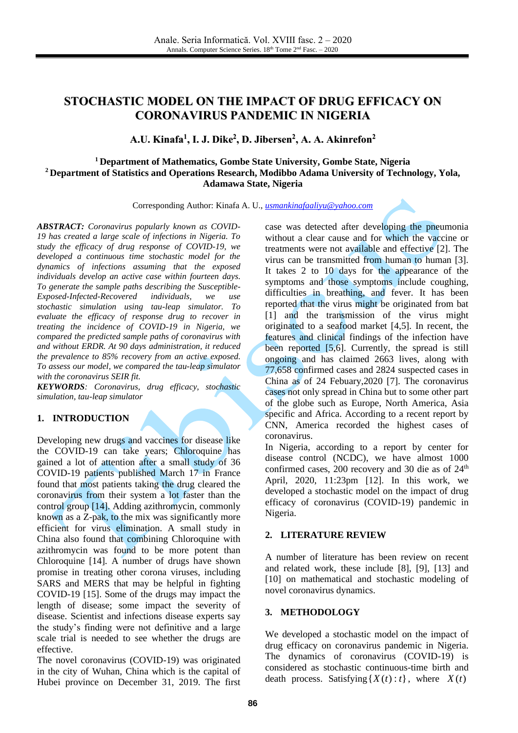# **STOCHASTIC MODEL ON THE IMPACT OF DRUG EFFICACY ON CORONAVIRUS PANDEMIC IN NIGERIA**

**A.U. Kinafa 1 , I. J. Dike 2 , D. Jibersen 2 , A. A. Akinrefon 2**

## **<sup>1</sup> Department of Mathematics, Gombe State University, Gombe State, Nigeria <sup>2</sup> Department of Statistics and Operations Research, Modibbo Adama University of Technology, Yola, Adamawa State, Nigeria**

Corresponding Author: Kinafa A. U., *[usmankinafaaliyu@yahoo.com](mailto:usmankinafaaliyu@yahoo.com)*

*ABSTRACT: Coronavirus popularly known as COVID-19 has created a large scale of infections in Nigeria. To study the efficacy of drug response of COVID-19, we developed a continuous time stochastic model for the dynamics of infections assuming that the exposed individuals develop an active case within fourteen days. To generate the sample paths describing the Susceptible-Exposed-Infected-Recovered individuals, we use stochastic simulation using tau-leap simulator. To evaluate the efficacy of response drug to recover in treating the incidence of COVID-19 in Nigeria, we compared the predicted sample paths of coronavirus with and without ERDR. At 90 days administration, it reduced the prevalence to 85% recovery from an active exposed. To assess our model, we compared the tau-leap simulator with the coronavirus SEIR fit.*

*KEYWORDS: Coronavirus, drug efficacy, stochastic simulation, tau-leap simulator*

## **1. INTRODUCTION**

Developing new drugs and vaccines for disease like the COVID-19 can take years; Chloroquine has gained a lot of attention after a small study of 36 COVID-19 patients published March 17 in France found that most patients taking the drug cleared the coronavirus from their system a lot faster than the control group [14]. Adding azithromycin, commonly known as a Z-pak, to the mix was significantly more efficient for virus elimination. A small study in China also found that combining Chloroquine with azithromycin was found to be more potent than Chloroquine [14]. A number of drugs have shown promise in treating other corona viruses, including SARS and MERS that may be helpful in fighting COVID-19 [15]. Some of the drugs may impact the length of disease; some impact the severity of disease. Scientist and infections disease experts say the study's finding were not definitive and a large scale trial is needed to see whether the drugs are effective.

The novel coronavirus (COVID-19) was originated in the city of Wuhan, China which is the capital of Hubei province on December 31, 2019. The first

case was detected after developing the pneumonia without a clear cause and for which the vaccine or treatments were not available and effective [2]. The virus can be transmitted from human to human [3]. It takes 2 to 10 days for the appearance of the symptoms and those symptoms include coughing, difficulties in breathing, and fever. It has been reported that the virus might be originated from bat [1] and the transmission of the virus might originated to a seafood market [4,5]. In recent, the features and clinical findings of the infection have been reported [5,6]. Currently, the spread is still ongoing and has claimed 2663 lives, along with 77,658 confirmed cases and 2824 suspected cases in China as of 24 Febuary,2020 [7]. The coronavirus cases not only spread in China but to some other part of the globe such as Europe, North America, Asia specific and Africa. According to a recent report by CNN, America recorded the highest cases of coronavirus.

In Nigeria, according to a report by center for disease control (NCDC), we have almost 1000 confirmed cases,  $200$  recovery and  $30$  die as of  $24<sup>th</sup>$ April, 2020, 11:23pm [12]. In this work, we developed a stochastic model on the impact of drug efficacy of coronavirus (COVID-19) pandemic in Nigeria.

#### **2. LITERATURE REVIEW**

A number of literature has been review on recent and related work, these include [8], [9], [13] and [10] on mathematical and stochastic modeling of novel coronavirus dynamics.

#### **3. METHODOLOGY**

We developed a stochastic model on the impact of drug efficacy on coronavirus pandemic in Nigeria. The dynamics of coronavirus (COVID-19) is considered as stochastic continuous-time birth and death process. Satisfying  $\{X(t): t\}$ , where  $X(t)$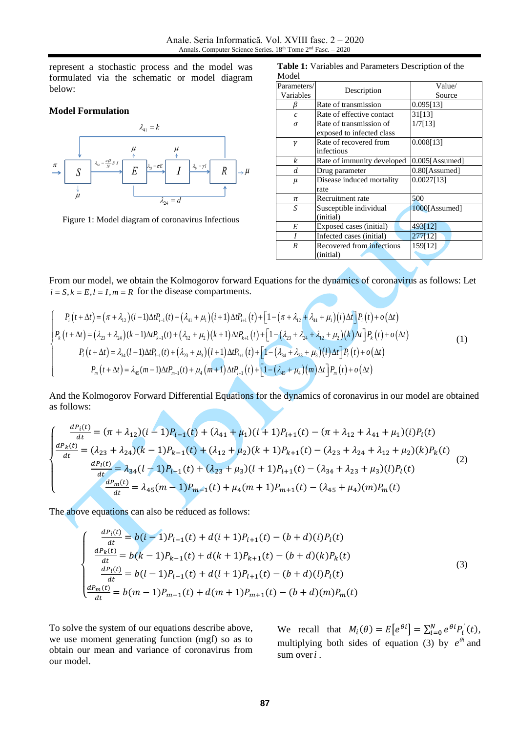represent a stochastic process and the model was formulated via the schematic or model diagram below:

#### **Model Formulation**



Figure 1: Model diagram of coronavirus Infectious

**Table 1:** Variables and Parameters Description of the  $Modol$ 

| noue                     |                            |                   |
|--------------------------|----------------------------|-------------------|
| Parameters/<br>Variables | Description                | Value/<br>Source  |
| ĸ                        | Rate of transmission       | 0.095[13]         |
| $\mathcal{C}$            | Rate of effective contact  | 31[13]            |
| σ                        | Rate of transmission of    | 1/7[13]           |
|                          | exposed to infected class  |                   |
| $\gamma$                 | Rate of recovered from     | 0.008[13]         |
|                          | infectious                 |                   |
| k                        | Rate of immunity developed | $0.005$ [Assumed] |
| d                        | Drug parameter             | 0.80[Assumed]     |
| $\mu$                    | Disease induced mortality  | 0.0027[13]        |
|                          | rate                       |                   |
| π                        | Recruitment rate           | 500               |
| S                        | Susceptible individual     | 1000[Assumed]     |
|                          | (initial)                  |                   |
| E                        | Exposed cases (initial)    | 493[12]           |
|                          | Infected cases (initial)   | 277[12]           |
| R                        | Recovered from infectious  | 159[12]           |
|                          | (initial)                  |                   |

From our model, we obtain the Kolmogorov forward Equations for the dynamics of coronavirus as follows: Let  $i = S, k = E, l = I, m = R$  for the disease compartments.

$$
\begin{cases}\nP_{i}(t+\Delta t) = (\pi + \lambda_{12})(i-1)\Delta t P_{i-1}(t) + (\lambda_{41} + \mu_{1})(i+1)\Delta t P_{i+1}(t) + [1 - (\pi + \lambda_{12} + \lambda_{41} + \mu_{1})(i)\Delta t]P_{i}(t) + o(\Delta t) \\
P_{k}(t+\Delta t) = (\lambda_{23} + \lambda_{24})(k-1)\Delta t P_{k-1}(t) + (\lambda_{12} + \mu_{2})(k+1)\Delta t P_{k+1}(t) + [1 - (\lambda_{23} + \lambda_{24} + \lambda_{12} + \mu_{2})(k)\Delta t]P_{k}(t) + o(\Delta t) \\
P_{i}(t+\Delta t) = \lambda_{34}(l-1)\Delta t P_{i-1}(t) + (\lambda_{23} + \mu_{3})(l+1)\Delta t P_{i+1}(t) + [1 - (\lambda_{34} + \lambda_{23} + \mu_{3})(l)\Delta t]P_{i}(t) + o(\Delta t) \\
P_{m}(t+\Delta t) = \lambda_{45}(m-1)\Delta t P_{m-1}(t) + \mu_{4}(m+1)\Delta t P_{i+1}(t) + [1 - (\lambda_{45} + \mu_{4})(m)\Delta t]P_{m}(t) + o(\Delta t)\n\end{cases} (1)
$$

And the Kolmogorov Forward Differential Equations for the dynamics of coronavirus in our model are obtained as follows:

$$
\begin{cases}\n\frac{dP_i(t)}{dt} = (\pi + \lambda_{12})(i - 1)P_{i-1}(t) + (\lambda_{41} + \mu_1)(i + 1)P_{i+1}(t) - (\pi + \lambda_{12} + \lambda_{41} + \mu_1)(i)P_i(t) \\
\frac{dP_k(t)}{dt} = (\lambda_{23} + \lambda_{24})(k - 1)P_{k-1}(t) + (\lambda_{12} + \mu_2)(k + 1)P_{k+1}(t) - (\lambda_{23} + \lambda_{24} + \lambda_{12} + \mu_2)(k)P_k(t) \\
\frac{dP_l(t)}{dt} = \lambda_{34}(l - 1)P_{l-1}(t) + (\lambda_{23} + \mu_3)(l + 1)P_{l+1}(t) - (\lambda_{34} + \lambda_{23} + \mu_3)(l)P_l(t) \\
\frac{dP_m(t)}{dt} = \lambda_{45}(m - 1)P_{m-1}(t) + \mu_4(m + 1)P_{m+1}(t) - (\lambda_{45} + \mu_4)(m)P_m(t)\n\end{cases}
$$
\n(2)

The above equations can also be reduced as follows:

$$
\frac{dP_i(t)}{dt} = b(i-1)P_{i-1}(t) + d(i+1)P_{i+1}(t) - (b+d)(i)P_i(t)
$$
\n
$$
\frac{dP_k(t)}{dt} = b(k-1)P_{k-1}(t) + d(k+1)P_{k+1}(t) - (b+d)(k)P_k(t)
$$
\n
$$
\frac{dP_l(t)}{dt} = b(l-1)P_{l-1}(t) + d(l+1)P_{l+1}(t) - (b+d)(l)P_l(t)
$$
\n
$$
\frac{dP_m(t)}{dt} = b(m-1)P_{m-1}(t) + d(m+1)P_{m+1}(t) - (b+d)(m)P_m(t)
$$
\n(3)

To solve the system of our equations describe above, we use moment generating function (mgf) so as to obtain our mean and variance of coronavirus from our model.

 $\overline{\mathcal{L}}$  $\mathbf{I}$  $\mathbf{I}$ 

 $\mathbf{I}$  $\overline{1}$ 

> We recall that  $M_i(\theta) = E[e^{\theta i}] = \sum_{i=0}^{N} e^{\theta i} P'_i(t)$ , multiplying both sides of equation (3) by  $e^{\theta i}$  and sum over *i* .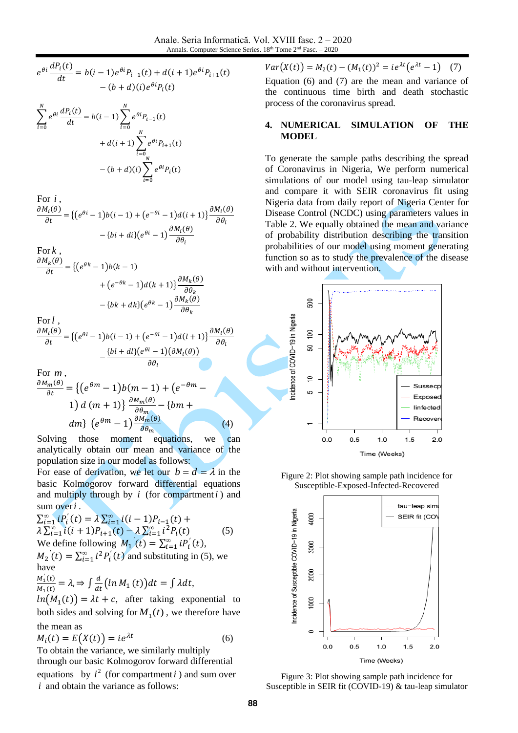$$
e^{\theta i} \frac{dP_i(t)}{dt} = b(i-1)e^{\theta i}P_{i-1}(t) + d(i+1)e^{\theta i}P_{i+1}(t) - (b+d)(i)e^{\theta i}P_i(t)
$$

$$
\sum_{i=0}^{N} e^{\theta i} \frac{dP_i(t)}{dt} = b(i-1) \sum_{i=0}^{N} e^{\theta i} P_{i-1}(t) + d(i+1) \sum_{i=0}^{N} e^{\theta i} P_{i+1}(t) - (b+d)(i) \sum_{i=0}^{N} e^{\theta i} P_i(t)
$$

For *i*,  
\n
$$
\frac{\partial M_i(\theta)}{\partial t} = \{ (e^{\theta i} - 1) b(i - 1) + (e^{-\theta i} - 1) d(i + 1) \} \frac{\partial M_i(\theta)}{\partial \theta_i} - \{ bi + di \} (e^{\theta i} - 1) \frac{\partial M_i(\theta)}{\partial \theta_i}
$$

For k,  
\n
$$
\frac{\partial M_k(\theta)}{\partial t} = \{ (e^{\theta k} - 1) b(k - 1) + (e^{-\theta k} - 1) d(k + 1) \} \frac{\partial M_k(\theta)}{\partial \theta_k} - \{ bk + dk \} (e^{\theta k} - 1) \frac{\partial M_k(\theta)}{\partial \theta_k}
$$

For l,  
\n
$$
\frac{\partial M_l(\theta)}{\partial t} = \{ (e^{\theta l} - 1) b(l - 1) + (e^{-\theta l} - 1) d(l + 1) \} \frac{\partial M_l(\theta)}{\partial \theta_l} - \frac{\{ bl + dl \} (e^{\theta l} - 1) (\partial M_l(\theta))}{\partial \theta_l}
$$

For *<sup>m</sup>* ,  $\partial$ 

$$
\frac{M_m(\theta)}{\partial t} = \left\{ \left( e^{\theta m} - 1 \right) b(m - 1) + \left( e^{-\theta m} - 1 \right) d(m + 1) \right\} \frac{\partial M_m(\theta)}{\partial \theta_m} - \left\{ b m + 1 \right\}
$$
\n
$$
dm\} \left( e^{\theta m} - 1 \right) \frac{\partial M_m(\theta)}{\partial \theta_m} \tag{4}
$$

Solving those moment equations, we can analytically obtain our mean and variance of the population size in our model as follows:

For ease of derivation, we let our  $b = d = \lambda$  in the basic Kolmogorov forward differential equations and multiply through by  $i$  (for compartment  $i$ ) and sum over *i* .

$$
\sum_{i=1}^{\infty} i P_i'(t) = \lambda \sum_{i=1}^{\infty} i(i-1) P_{i-1}(t) +
$$
  
\n
$$
\lambda \sum_{i=1}^{\infty} i(i+1) P_{i+1}(t) - \lambda \sum_{i=1}^{\infty} i^2 P_i(t)
$$
 (5)  
\nWe define following  $M_1'(t) = \sum_{i=1}^{\infty} i P_i'(t)$ ,  
\n $M_2'(t) = \sum_{i=1}^{\infty} i^2 P_i'(t)$  and substituting in (5), we  
\nhave

$$
\frac{M_1'(t)}{M_1(t)} = \lambda \Rightarrow \int \frac{d}{dt} \left( \ln M_1(t) \right) dt = \int \lambda dt,
$$
  
ln(M\_1(t)) = 3t + 0, after taking any

 $ln(M_1(t)) = \lambda t + c$ , after taking exponential to both sides and solving for  $M_1(t)$ , we therefore have the mean as

$$
M_i(t) = E(X(t)) = ie^{\lambda t}
$$
 (6)

To obtain the variance, we similarly multiply through our basic Kolmogorov forward differential equations by  $i^2$  (for compartment *i*) and sum over *<sup>i</sup>* and obtain the variance as follows:

 $Var(X(t)) = M_2(t) - (M_1(t))^2 = ie^{\lambda t}(e^{\lambda t} - 1)$  (7)

Equation (6) and (7) are the mean and variance of the continuous time birth and death stochastic process of the coronavirus spread.

## **4. NUMERICAL SIMULATION OF THE MODEL**

To generate the sample paths describing the spread of Coronavirus in Nigeria, We perform numerical simulations of our model using tau-leap simulator and compare it with SEIR coronavirus fit using Nigeria data from daily report of Nigeria Center for Disease Control (NCDC) using parameters values in Table 2. We equally obtained the mean and variance of probability distribution describing the transition probabilities of our model using moment generating function so as to study the prevalence of the disease with and without intervention.



Figure 2: Plot showing sample path incidence for Susceptible-Exposed-Infected-Recovered



Figure 3: Plot showing sample path incidence for Susceptible in SEIR fit (COVID-19) & tau-leap simulator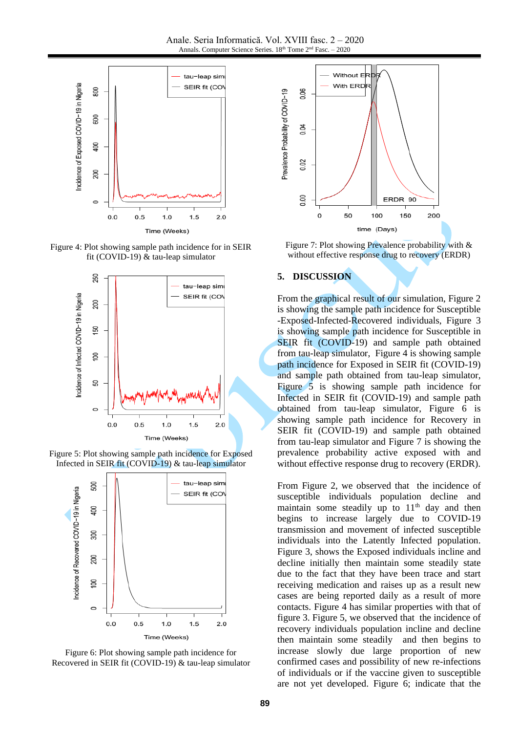Anale. Seria Informatică. Vol. XVIII fasc. 2 – 2020 Annals. Computer Science Series. 18<sup>th</sup> Tome 2<sup>nd</sup> Fasc. - 2020



Figure 4: Plot showing sample path incidence for in SEIR fit (COVID-19) & tau-leap simulator







Figure 6: Plot showing sample path incidence for Recovered in SEIR fit (COVID-19) & tau-leap simulator



Figure 7: Plot showing Prevalence probability with & without effective response drug to recovery (ERDR)

#### **5. DISCUSSION**

From the graphical result of our simulation, Figure 2 is showing the sample path incidence for Susceptible -Exposed-Infected-Recovered individuals, Figure 3 is showing sample path incidence for Susceptible in SEIR fit (COVID-19) and sample path obtained from tau-leap simulator, Figure 4 is showing sample path incidence for Exposed in SEIR fit (COVID-19) and sample path obtained from tau-leap simulator, Figure 5 is showing sample path incidence for Infected in SEIR fit (COVID-19) and sample path obtained from tau-leap simulator, Figure 6 is showing sample path incidence for Recovery in SEIR fit (COVID-19) and sample path obtained from tau-leap simulator and Figure 7 is showing the prevalence probability active exposed with and without effective response drug to recovery (ERDR).

From Figure 2, we observed that the incidence of susceptible individuals population decline and maintain some steadily up to  $11<sup>th</sup>$  day and then begins to increase largely due to COVID-19 transmission and movement of infected susceptible individuals into the Latently Infected population. Figure 3, shows the Exposed individuals incline and decline initially then maintain some steadily state due to the fact that they have been trace and start receiving medication and raises up as a result new cases are being reported daily as a result of more contacts. Figure 4 has similar properties with that of figure 3. Figure 5, we observed that the incidence of recovery individuals population incline and decline then maintain some steadily and then begins to increase slowly due large proportion of new confirmed cases and possibility of new re-infections of individuals or if the vaccine given to susceptible are not yet developed. Figure 6; indicate that the